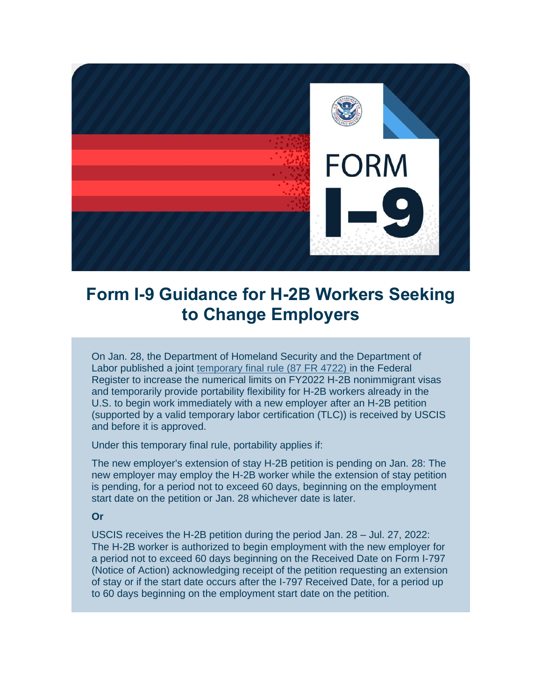

## **Form I-9 Guidance for H-2B Workers Seeking to Change Employers**

On Jan. 28, the Department of Homeland Security and the Department of Labor published a joint [temporary final rule \(87 FR 4722\)](https://lnks.gd/l/eyJhbGciOiJIUzI1NiJ9.eyJidWxsZXRpbl9saW5rX2lkIjoxMDAsInVyaSI6ImJwMjpjbGljayIsImJ1bGxldGluX2lkIjoiMjAyMjAyMTguNTM2NTkwNjEiLCJ1cmwiOiJodHRwczovL3d3dy5mZWRlcmFscmVnaXN0ZXIuZ292L2RvY3VtZW50cy8yMDIyLzAxLzI4LzIwMjItMDE4NjYvZXhlcmNpc2Utb2YtdGltZS1saW1pdGVkLWF1dGhvcml0eS10by1pbmNyZWFzZS10aGUtZmlzY2FsLXllYXItMjAyMi1udW1lcmljYWwtbGltaXRhdGlvbi1mb3ItdGhlIn0.zuj45CC-uLvQeUEBrDFjiC6ysNYIxKmY9QDJPC3abJs/s/839805817/br/126864092433-l) in the Federal Register to increase the numerical limits on FY2022 H-2B nonimmigrant visas and temporarily provide portability flexibility for H-2B workers already in the U.S. to begin work immediately with a new employer after an H-2B petition (supported by a valid temporary labor certification (TLC)) is received by USCIS and before it is approved.

Under this temporary final rule, portability applies if:

The new employer's extension of stay H-2B petition is pending on Jan. 28: The new employer may employ the H-2B worker while the extension of stay petition is pending, for a period not to exceed 60 days, beginning on the employment start date on the petition or Jan. 28 whichever date is later.

## **Or**

USCIS receives the H-2B petition during the period Jan. 28 – Jul. 27, 2022: The H-2B worker is authorized to begin employment with the new employer for a period not to exceed 60 days beginning on the Received Date on Form I-797 (Notice of Action) acknowledging receipt of the petition requesting an extension of stay or if the start date occurs after the I-797 Received Date, for a period up to 60 days beginning on the employment start date on the petition.